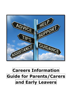

# **Careers Information Guide for Parents/Carers and Early Leavers**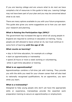If you are leaving college and are unsure what to do next we have compiled a list of resources in this guide to help you. Leaving College may not have been part of your plan and you may be concerned about what to do next.

There are many options available to you with your future progression. This guide also gives you some suggestions as to how you can start your research and planning.

## **What is Raising the Participation Age (RPA)?**

The government has increased the age to which all young people in England are required to continue in education or training. Young people are still allowed to leave school at 16, but must continue in some form of learning **until the age of 18.**

#### **What counts as learning?**

- stay in full-time education, for example at a college
- start an apprenticeship or traineeship
- spend 20 hours or more a week working or volunteering, while in part-time education or training

## **What is an apprenticeship?**

Apprenticeships combine a full-time job with training. They provide you with the skills you need for your chosen career that will also lead to nationally recognised qualifications. As an apprentice, you earn while you learn.

## **What is a traineeship?**

Designed to help young people who don't yet have the appropriate skills or experience, traineeships provide the essential work preparation training to secure an apprenticeship or employment.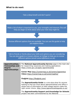#### **What to do next:**

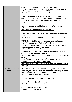|                         | Apprenticeship Service, part of the Skills Funding Agency                                                                                                                           |
|-------------------------|-------------------------------------------------------------------------------------------------------------------------------------------------------------------------------------|
|                         | (SFA), to support the Government's target of achieving 3                                                                                                                            |
|                         | million apprenticeship starts by 2020.                                                                                                                                              |
|                         | http://amazingapprenticeships.com/                                                                                                                                                  |
|                         |                                                                                                                                                                                     |
|                         | Apprenticeships in Sussex can help young people to<br>search for apprenticeship, traineeship and pre-employment<br>training in Sussex http://www.apprenticeships-in-<br>sussex.com/ |
|                         |                                                                                                                                                                                     |
|                         | Rate my apprenticeship has reviews of employers and                                                                                                                                 |
|                         | national database of vacancies                                                                                                                                                      |
|                         | https://www.ratemyapprenticeship.co.uk/                                                                                                                                             |
|                         | Brighton and Hove Jobs' apprenticeship vacancies in<br>the local area                                                                                                               |
|                         | http://www.brightonandhovejobs.com/jobs/apprenticeship-/                                                                                                                            |
|                         |                                                                                                                                                                                     |
|                         | <b>UCAS Guide to higher and degree apprenticeships</b>                                                                                                                              |
|                         | https://www.ucas.com/advisers/which-for-                                                                                                                                            |
|                         | teachers/introduce-higher-education-options/higher-and-                                                                                                                             |
|                         | degree-apprenticeships-guide-download                                                                                                                                               |
|                         |                                                                                                                                                                                     |
|                         |                                                                                                                                                                                     |
|                         | Traineeships, preparation for an apprenticeship, to                                                                                                                                 |
|                         | develop skills and confidence.                                                                                                                                                      |
|                         | https://www.findapprenticeship.service.gov.uk/traineeshipse<br>arch                                                                                                                 |
|                         | https://www.westsussex.gov.uk/education-children-and-                                                                                                                               |
|                         |                                                                                                                                                                                     |
|                         | families/your-space/jobs/traineeships/                                                                                                                                              |
|                         | https://www.c360.org.uk/education/apprenticeshipswex/trai<br>neeships                                                                                                               |
|                         |                                                                                                                                                                                     |
| <b>Exploring career</b> | The National Careers Service has a good overview of                                                                                                                                 |
| options                 | different job profiles which includes their entry requirements                                                                                                                      |
|                         | and training paths, duties and hours of work:                                                                                                                                       |
|                         | https://nationalcareersservice.direct.gov.uk/home                                                                                                                                   |
|                         | <b>Explore career videos: http://icould.com/</b>                                                                                                                                    |
|                         |                                                                                                                                                                                     |
|                         | <b>Career Planner Questionnaire:</b>                                                                                                                                                |
|                         | https://www.prospects.ac.uk/planner                                                                                                                                                 |
|                         |                                                                                                                                                                                     |
|                         | <b>SACU Spartan Test: http://sacu-</b><br>student.com/?page id=2850                                                                                                                 |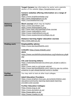|                     | Target Careers has information by sector and a parents<br>section of the website https://targetcareers.co.uk/ |
|---------------------|---------------------------------------------------------------------------------------------------------------|
|                     | Careers websites offering information on a range of<br>options                                                |
|                     | https://www.brightknowledge.org/                                                                              |
|                     | http://www.notgoingtouni.co.uk/                                                                               |
|                     | https://successatschool.org/                                                                                  |
| <b>Distance</b>     | Short courses which may be helpful:                                                                           |
| Learning            | https://www.futurelearn.com                                                                                   |
|                     | https://www.khanacademy.org/                                                                                  |
|                     | http://www.open.edu/openlearn/free-courses                                                                    |
|                     | https://www.codecademy.com/                                                                                   |
|                     | https://www.creativefuture.org.uk/<br>https://www.sussexrecoverycollege.org.uk                                |
|                     |                                                                                                               |
|                     | <b>Distance learning higher education courses</b>                                                             |
|                     | http://www.open.ac.uk/                                                                                        |
| <b>Finding work</b> | <b>Employability advice:</b>                                                                                  |
|                     | https://www.barclayslifeskills.com/                                                                           |
|                     |                                                                                                               |
|                     | LinkedIn https://www.linkedin.com/                                                                            |
|                     | <b>OECD</b>                                                                                                   |
|                     | https://www.oecdskillsforjobsdatabase.org/imbalances.php#                                                     |
|                     | UK/                                                                                                           |
|                     |                                                                                                               |
|                     | <b>CVs and Covering letters:</b>                                                                              |
|                     | https://nationalcareersservice.direct.gov.uk/get-a-job/cv-                                                    |
|                     | sections                                                                                                      |
|                     | https://www.reed.co.uk/career-advice/                                                                         |
|                     | https://www.barclayslifeskills.com/i-want-to-use-my-online-                                                   |
|                     | presence-to-get-ahead/started-work/cv-builder                                                                 |
| <b>Further</b>      | You may wish to look at other local colleges.                                                                 |
| education           | <b>Adult Education Providers:</b>                                                                             |
|                     | https://www.brighton-hove.gov.uk/content/children-and-                                                        |
|                     | education/community-learning-team/adult-learning-                                                             |
|                     | providers-and-courses                                                                                         |
|                     |                                                                                                               |
|                     | <b>Further Education Colleges:</b>                                                                            |
|                     | https://www.escg.ac.uk/                                                                                       |
|                     | https://www.plumpton.ac.uk/                                                                                   |
|                     | https://www.gbmc.ac.uk/                                                                                       |
|                     | https://www.crawley.ac.uk/                                                                                    |